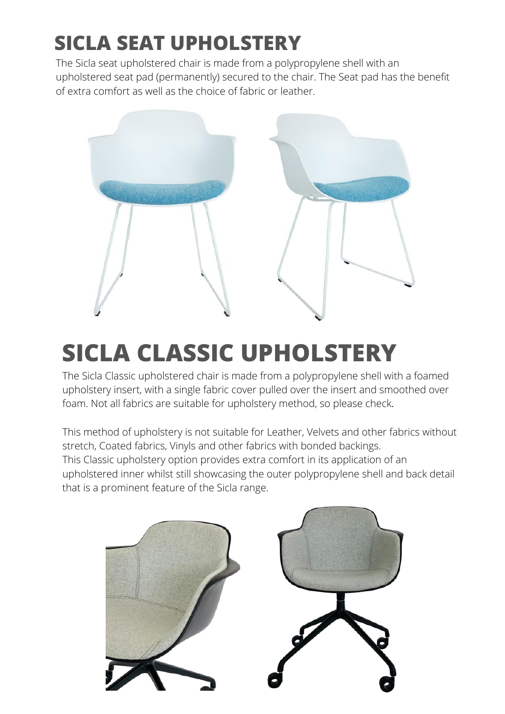## **SICLA SEAT UPHOLSTERY**

The Sicla seat upholstered chair is made from a polypropylene shell with an upholstered seat pad (permanently) secured to the chair. The Seat pad has the benefit of extra comfort as well as the choice of fabric or leather.



## **SICLA CLASSIC UPHOLSTERY**

The Sicla Classic upholstered chair is made from a polypropylene shell with a foamed upholstery insert, with a single fabric cover pulled over the insert and smoothed over foam. Not all fabrics are suitable for upholstery method, so please check.

This method of upholstery is not suitable for Leather, Velvets and other fabrics without stretch, Coated fabrics, Vinyls and other fabrics with bonded backings. This Classic upholstery option provides extra comfort in its application of an upholstered inner whilst still showcasing the outer polypropylene shell and back detail that is a prominent feature of the Sicla range.